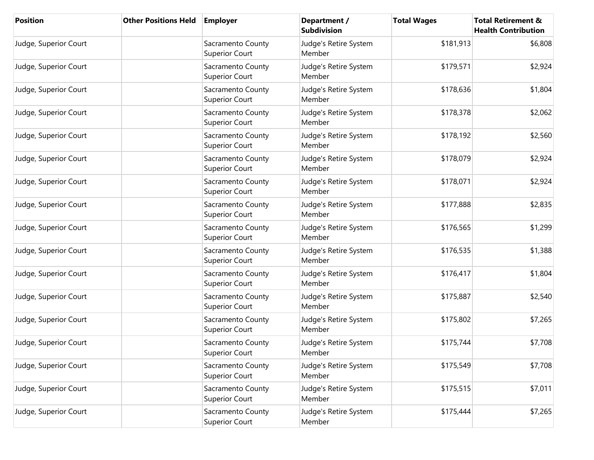| <b>Position</b>       | <b>Other Positions Held</b> | <b>Employer</b>                            | Department /<br><b>Subdivision</b> | <b>Total Wages</b> | <b>Total Retirement &amp;</b><br><b>Health Contribution</b> |
|-----------------------|-----------------------------|--------------------------------------------|------------------------------------|--------------------|-------------------------------------------------------------|
| Judge, Superior Court |                             | Sacramento County<br><b>Superior Court</b> | Judge's Retire System<br>Member    | \$181,913          | \$6,808                                                     |
| Judge, Superior Court |                             | Sacramento County<br><b>Superior Court</b> | Judge's Retire System<br>Member    | \$179,571          | \$2,924                                                     |
| Judge, Superior Court |                             | Sacramento County<br><b>Superior Court</b> | Judge's Retire System<br>Member    | \$178,636          | \$1,804                                                     |
| Judge, Superior Court |                             | Sacramento County<br><b>Superior Court</b> | Judge's Retire System<br>Member    | \$178,378          | \$2,062                                                     |
| Judge, Superior Court |                             | Sacramento County<br><b>Superior Court</b> | Judge's Retire System<br>Member    | \$178,192          | \$2,560                                                     |
| Judge, Superior Court |                             | Sacramento County<br><b>Superior Court</b> | Judge's Retire System<br>Member    | \$178,079          | \$2,924                                                     |
| Judge, Superior Court |                             | Sacramento County<br><b>Superior Court</b> | Judge's Retire System<br>Member    | \$178,071          | \$2,924                                                     |
| Judge, Superior Court |                             | Sacramento County<br><b>Superior Court</b> | Judge's Retire System<br>Member    | \$177,888          | \$2,835                                                     |
| Judge, Superior Court |                             | Sacramento County<br><b>Superior Court</b> | Judge's Retire System<br>Member    | \$176,565          | \$1,299                                                     |
| Judge, Superior Court |                             | Sacramento County<br><b>Superior Court</b> | Judge's Retire System<br>Member    | \$176,535          | \$1,388                                                     |
| Judge, Superior Court |                             | Sacramento County<br><b>Superior Court</b> | Judge's Retire System<br>Member    | \$176,417          | \$1,804                                                     |
| Judge, Superior Court |                             | Sacramento County<br><b>Superior Court</b> | Judge's Retire System<br>Member    | \$175,887          | \$2,540                                                     |
| Judge, Superior Court |                             | Sacramento County<br><b>Superior Court</b> | Judge's Retire System<br>Member    | \$175,802          | \$7,265                                                     |
| Judge, Superior Court |                             | Sacramento County<br><b>Superior Court</b> | Judge's Retire System<br>Member    | \$175,744          | \$7,708                                                     |
| Judge, Superior Court |                             | Sacramento County<br><b>Superior Court</b> | Judge's Retire System<br>Member    | \$175,549          | \$7,708                                                     |
| Judge, Superior Court |                             | Sacramento County<br><b>Superior Court</b> | Judge's Retire System<br>Member    | \$175,515          | \$7,011                                                     |
| Judge, Superior Court |                             | Sacramento County<br><b>Superior Court</b> | Judge's Retire System<br>Member    | \$175,444          | \$7,265                                                     |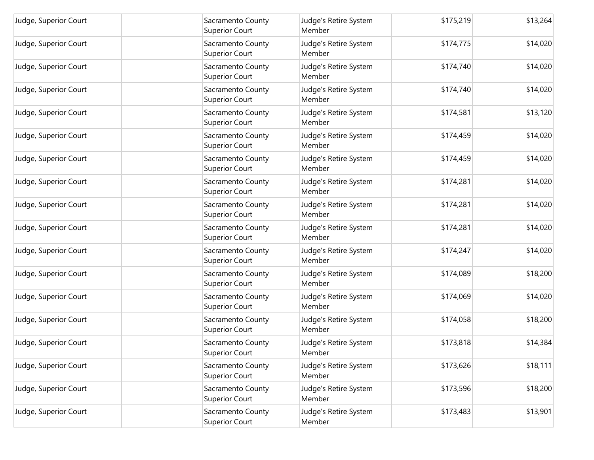| Judge, Superior Court | Sacramento County<br><b>Superior Court</b> | Judge's Retire System<br>Member | \$175,219 | \$13,264 |
|-----------------------|--------------------------------------------|---------------------------------|-----------|----------|
| Judge, Superior Court | Sacramento County<br><b>Superior Court</b> | Judge's Retire System<br>Member | \$174,775 | \$14,020 |
| Judge, Superior Court | Sacramento County<br><b>Superior Court</b> | Judge's Retire System<br>Member | \$174,740 | \$14,020 |
| Judge, Superior Court | Sacramento County<br><b>Superior Court</b> | Judge's Retire System<br>Member | \$174,740 | \$14,020 |
| Judge, Superior Court | Sacramento County<br><b>Superior Court</b> | Judge's Retire System<br>Member | \$174,581 | \$13,120 |
| Judge, Superior Court | Sacramento County<br><b>Superior Court</b> | Judge's Retire System<br>Member | \$174,459 | \$14,020 |
| Judge, Superior Court | Sacramento County<br><b>Superior Court</b> | Judge's Retire System<br>Member | \$174,459 | \$14,020 |
| Judge, Superior Court | Sacramento County<br><b>Superior Court</b> | Judge's Retire System<br>Member | \$174,281 | \$14,020 |
| Judge, Superior Court | Sacramento County<br><b>Superior Court</b> | Judge's Retire System<br>Member | \$174,281 | \$14,020 |
| Judge, Superior Court | Sacramento County<br><b>Superior Court</b> | Judge's Retire System<br>Member | \$174,281 | \$14,020 |
| Judge, Superior Court | Sacramento County<br><b>Superior Court</b> | Judge's Retire System<br>Member | \$174,247 | \$14,020 |
| Judge, Superior Court | Sacramento County<br><b>Superior Court</b> | Judge's Retire System<br>Member | \$174,089 | \$18,200 |
| Judge, Superior Court | Sacramento County<br><b>Superior Court</b> | Judge's Retire System<br>Member | \$174,069 | \$14,020 |
| Judge, Superior Court | Sacramento County<br><b>Superior Court</b> | Judge's Retire System<br>Member | \$174,058 | \$18,200 |
| Judge, Superior Court | Sacramento County<br><b>Superior Court</b> | Judge's Retire System<br>Member | \$173,818 | \$14,384 |
| Judge, Superior Court | Sacramento County<br><b>Superior Court</b> | Judge's Retire System<br>Member | \$173,626 | \$18,111 |
| Judge, Superior Court | Sacramento County<br><b>Superior Court</b> | Judge's Retire System<br>Member | \$173,596 | \$18,200 |
| Judge, Superior Court | Sacramento County<br><b>Superior Court</b> | Judge's Retire System<br>Member | \$173,483 | \$13,901 |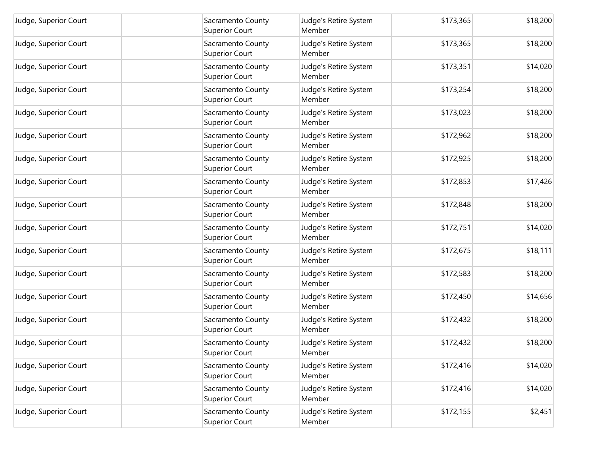| Judge, Superior Court | Sacramento County<br><b>Superior Court</b> | Judge's Retire System<br>Member | \$173,365 | \$18,200 |
|-----------------------|--------------------------------------------|---------------------------------|-----------|----------|
| Judge, Superior Court | Sacramento County<br><b>Superior Court</b> | Judge's Retire System<br>Member | \$173,365 | \$18,200 |
| Judge, Superior Court | Sacramento County<br><b>Superior Court</b> | Judge's Retire System<br>Member | \$173,351 | \$14,020 |
| Judge, Superior Court | Sacramento County<br><b>Superior Court</b> | Judge's Retire System<br>Member | \$173,254 | \$18,200 |
| Judge, Superior Court | Sacramento County<br><b>Superior Court</b> | Judge's Retire System<br>Member | \$173,023 | \$18,200 |
| Judge, Superior Court | Sacramento County<br><b>Superior Court</b> | Judge's Retire System<br>Member | \$172,962 | \$18,200 |
| Judge, Superior Court | Sacramento County<br><b>Superior Court</b> | Judge's Retire System<br>Member | \$172,925 | \$18,200 |
| Judge, Superior Court | Sacramento County<br><b>Superior Court</b> | Judge's Retire System<br>Member | \$172,853 | \$17,426 |
| Judge, Superior Court | Sacramento County<br><b>Superior Court</b> | Judge's Retire System<br>Member | \$172,848 | \$18,200 |
| Judge, Superior Court | Sacramento County<br><b>Superior Court</b> | Judge's Retire System<br>Member | \$172,751 | \$14,020 |
| Judge, Superior Court | Sacramento County<br><b>Superior Court</b> | Judge's Retire System<br>Member | \$172,675 | \$18,111 |
| Judge, Superior Court | Sacramento County<br><b>Superior Court</b> | Judge's Retire System<br>Member | \$172,583 | \$18,200 |
| Judge, Superior Court | Sacramento County<br><b>Superior Court</b> | Judge's Retire System<br>Member | \$172,450 | \$14,656 |
| Judge, Superior Court | Sacramento County<br><b>Superior Court</b> | Judge's Retire System<br>Member | \$172,432 | \$18,200 |
| Judge, Superior Court | Sacramento County<br><b>Superior Court</b> | Judge's Retire System<br>Member | \$172,432 | \$18,200 |
| Judge, Superior Court | Sacramento County<br><b>Superior Court</b> | Judge's Retire System<br>Member | \$172,416 | \$14,020 |
| Judge, Superior Court | Sacramento County<br><b>Superior Court</b> | Judge's Retire System<br>Member | \$172,416 | \$14,020 |
| Judge, Superior Court | Sacramento County<br><b>Superior Court</b> | Judge's Retire System<br>Member | \$172,155 | \$2,451  |